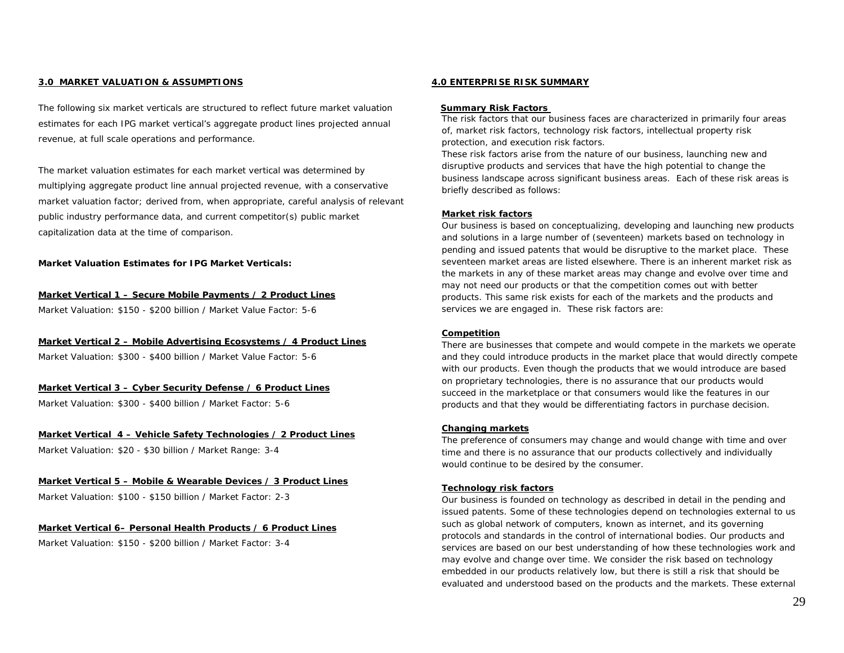### **3.0 MARKET VALUATION & ASSUMPTIONS**

The following six market verticals are structured to reflect future market valuation estimates for each IPG market vertical's aggregate product lines projected annual revenue, at full scale operations and performance.

The market valuation estimates for each market vertical was determined by multiplying aggregate product line annual projected revenue, with a conservative market valuation factor; derived from, when appropriate, careful analysis of relevant public industry performance data, and current competitor(s) public market capitalization data at the time of comparison.

*Market Valuation Estimates for IPG Market Verticals:*

#### **Market Vertical 1 –** *Secure Mobile Payments* **/** *2 Product Lines*

Market Valuation: \$150 - \$200 billion / Market Value Factor: 5-6

### **Market Vertical 2 –** *Mobile Advertising Ecosystems* **/** *4 Product Lines*

Market Valuation: \$300 - \$400 billion / Market Value Factor: 5-6

### **Market Vertical 3** *– Cyber Security Defense* **/** *6 Product Lines*

Market Valuation: \$300 - \$400 billion / Market Factor: 5-6

### **Market Vertical 4** *– Vehicle Safety Technologies* **/** *2 Product Lines*

Market Valuation: \$20 - \$30 billion / Market Range: 3-4

# **Market Vertical 5 –** *Mobile & Wearable Devices* **/** *3 Product Lines*

Market Valuation: \$100 - \$150 billion / Market Factor: 2-3

### **Market Vertical 6–** *Personal Health Products* **/** *6 Product Lines*

Market Valuation: \$150 - \$200 billion / Market Factor: 3-4

#### **4.0 ENTERPRISE RISK SUMMARY**

#### **Summary Risk Factors**

The risk factors that our business faces are characterized in primarily four areas of, market risk factors, technology risk factors, intellectual property risk protection, and execution risk factors.

These risk factors arise from the nature of our business, launching new and disruptive products and services that have the high potential to change the business landscape across significant business areas. Each of these risk areas is briefly described as follows:

### **Market risk factors**

Our business is based on conceptualizing, developing and launching new products and solutions in a large number of (seventeen) markets based on technology in pending and issued patents that would be disruptive to the market place. These seventeen market areas are listed elsewhere. There is an inherent market risk as the markets in any of these market areas may change and evolve over time and may not need our products or that the competition comes out with better products. This same risk exists for each of the markets and the products and services we are engaged in. These risk factors are:

### **Competition**

There are businesses that compete and would compete in the markets we operate and they could introduce products in the market place that would directly compete with our products. Even though the products that we would introduce are based on proprietary technologies, there is no assurance that our products would succeed in the marketplace or that consumers would like the features in our products and that they would be differentiating factors in purchase decision.

### **Changing markets**

The preference of consumers may change and would change with time and over time and there is no assurance that our products collectively and individually would continue to be desired by the consumer.

### **Technology risk factors**

Our business is founded on technology as described in detail in the pending and issued patents. Some of these technologies depend on technologies external to us such as global network of computers, known as internet, and its governing protocols and standards in the control of international bodies. Our products and services are based on our best understanding of how these technologies work and may evolve and change over time. We consider the risk based on technology embedded in our products relatively low, but there is still a risk that should be evaluated and understood based on the products and the markets. These external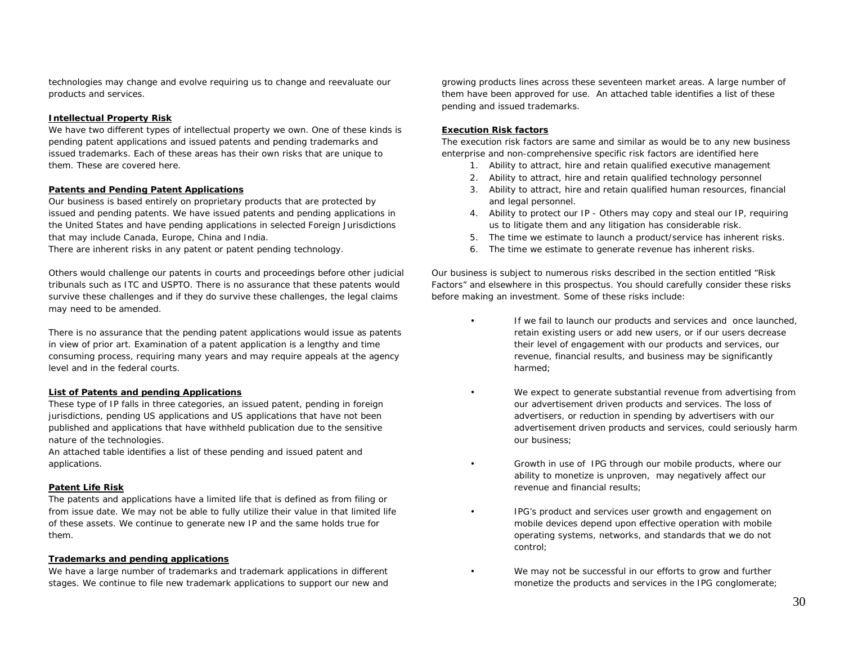technologies may change and evolve requiring us to change and reevaluate our products and services.

# **Intellectual Property Risk**

We have two different types of intellectual property we own. One of these kinds is pending patent applications and issued patents and pending trademarks and issued trademarks. Each of these areas has their own risks that are unique to them. These are covered here.

### **Patents and Pending Patent Applications**

Our business is based entirely on proprietary products that are protected by issued and pending patents. We have issued patents and pending applications in the United States and have pending applications in selected Foreign Jurisdictions that may include Canada, Europe, China and India.

There are inherent risks in any patent or patent pending technology.

Others would challenge our patents in courts and proceedings before other judicial tribunals such as ITC and USPTO. There is no assurance that these patents would survive these challenges and if they do survive these challenges, the legal claims may need to be amended.

There is no assurance that the pending patent applications would issue as patents in view of prior art. Examination of a patent application is a lengthy and time consuming process, requiring many years and may require appeals at the agency level and in the federal courts.

# **List of Patents and pending Applications**

These type of IP falls in three categories, an issued patent, pending in foreign jurisdictions, pending US applications and US applications that have not been published and applications that have withheld publication due to the sensitive nature of the technologies.

An attached table identifies a list of these pending and issued patent and applications.

# **Patent Life Risk**

The patents and applications have a limited life that is defined as from filing or from issue date. We may not be able to fully utilize their value in that limited life of these assets. We continue to generate new IP and the same holds true for them.

# **Trademarks and pending applications**

We have a large number of trademarks and trademark applications in different stages. We continue to file new trademark applications to support our new and growing products lines across these seventeen market areas. A large number of them have been approved for use. An attached table identifies a list of these pending and issued trademarks.

### **Execution Risk factors**

The execution risk factors are same and similar as would be to any new business enterprise and non-comprehensive specific risk factors are identified here

- 1. Ability to attract, hire and retain qualified executive management
- 2. Ability to attract, hire and retain qualified technology personnel
- 3. Ability to attract, hire and retain qualified human resources, financial and legal personnel.
- 4. Ability to protect our IP Others may copy and steal our IP, requiring us to litigate them and any litigation has considerable risk.
- 5. The time we estimate to launch a product/service has inherent risks.
- 6. The time we estimate to generate revenue has inherent risks.

Our business is subject to numerous risks described in the section entitled "Risk Factors" and elsewhere in this prospectus. You should carefully consider these risks before making an investment. Some of these risks include:

- If we fail to launch our products and services and once launched, retain existing users or add new users, or if our users decrease their level of engagement with our products and services, our revenue, financial results, and business may be significantly harmed;
- We expect to generate substantial revenue from advertising from our advertisement driven products and services. The loss of advertisers, or reduction in spending by advertisers with our advertisement driven products and services, could seriously harm our business;
- Growth in use of IPG through our mobile products, where our ability to monetize is unproven, may negatively affect our revenue and financial results;
- IPG's product and services user growth and engagement on mobile devices depend upon effective operation with mobile operating systems, networks, and standards that we do not control;
- We may not be successful in our efforts to grow and further monetize the products and services in the IPG conglomerate;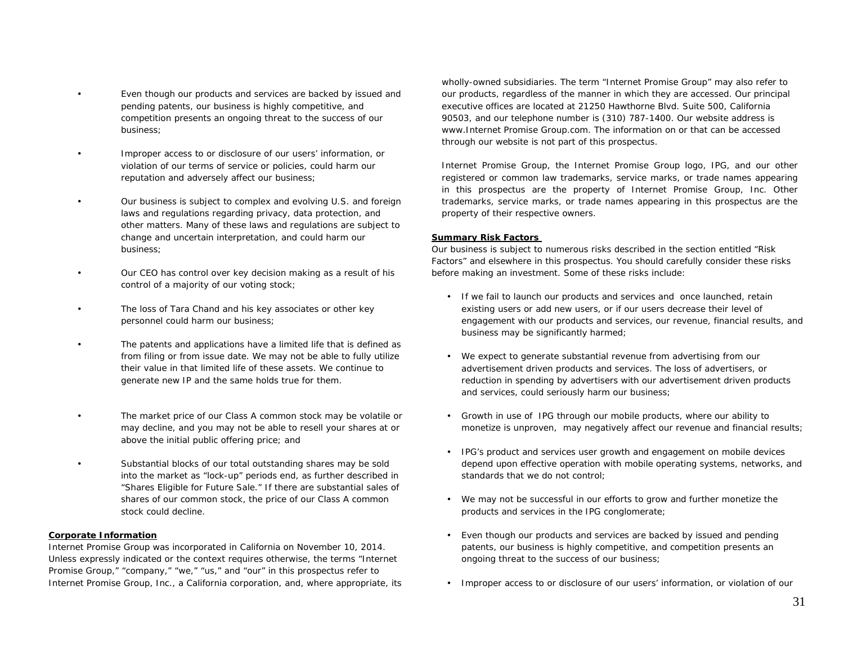- Even though our products and services are backed by issued and pending patents, our business is highly competitive, and competition presents an ongoing threat to the success of our business;
- Improper access to or disclosure of our users' information, or violation of our terms of service or policies, could harm our reputation and adversely affect our business;
	- Our business is subject to complex and evolving U.S. and foreign laws and regulations regarding privacy, data protection, and other matters. Many of these laws and regulations are subject to change and uncertain interpretation, and could harm our business;
- Our CEO has control over key decision making as a result of his control of a majority of our voting stock;
- The loss of Tara Chand and his key associates or other key personnel could harm our business;
- The patents and applications have a limited life that is defined as from filing or from issue date. We may not be able to fully utilize their value in that limited life of these assets. We continue to generate new IP and the same holds true for them.
- The market price of our Class A common stock may be volatile or may decline, and you may not be able to resell your shares at or above the initial public offering price; and
- Substantial blocks of our total outstanding shares may be sold into the market as "lock-up" periods end, as further described in "Shares Eligible for Future Sale." If there are substantial sales of shares of our common stock, the price of our Class A common stock could decline.

### **Corporate Information**

Internet Promise Group was incorporated in California on November 10, 2014. Unless expressly indicated or the context requires otherwise, the terms "Internet Promise Group," "company," "we," "us," and "our" in this prospectus refer to Internet Promise Group, Inc., a California corporation, and, where appropriate, its wholly-owned subsidiaries. The term "Internet Promise Group" may also refer to our products, regardless of the manner in which they are accessed. Our principal executive offices are located at 21250 Hawthorne Blvd. Suite 500, California 90503, and our telephone number is (310) 787-1400. Our website address is www.Internet Promise Group.com. The information on or that can be accessed through our website is not part of this prospectus.

Internet Promise Group, the Internet Promise Group logo, IPG, and our other registered or common law trademarks, service marks, or trade names appearing in this prospectus are the property of Internet Promise Group, Inc. Other trademarks, service marks, or trade names appearing in this prospectus are the property of their respective owners.

### **Summary Risk Factors**

Our business is subject to numerous risks described in the section entitled "Risk Factors" and elsewhere in this prospectus. You should carefully consider these risks before making an investment. Some of these risks include:

- If we fail to launch our products and services and once launched, retain existing users or add new users, or if our users decrease their level of engagement with our products and services, our revenue, financial results, and business may be significantly harmed;
- We expect to generate substantial revenue from advertising from our advertisement driven products and services. The loss of advertisers, or reduction in spending by advertisers with our advertisement driven products and services, could seriously harm our business;
- Growth in use of IPG through our mobile products, where our ability to monetize is unproven, may negatively affect our revenue and financial results;
- IPG's product and services user growth and engagement on mobile devices depend upon effective operation with mobile operating systems, networks, and standards that we do not control;
- We may not be successful in our efforts to grow and further monetize the products and services in the IPG conglomerate;
- Even though our products and services are backed by issued and pending patents, our business is highly competitive, and competition presents an ongoing threat to the success of our business;
- Improper access to or disclosure of our users' information, or violation of our